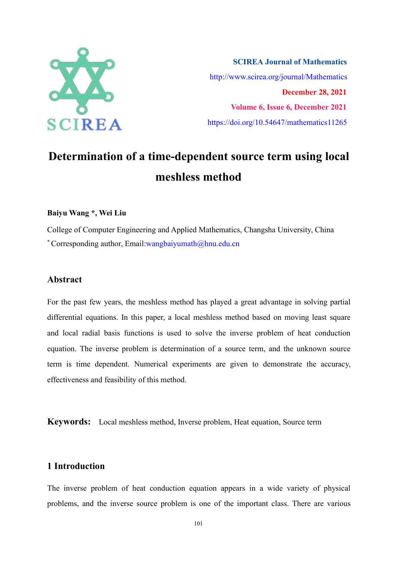

**SCIREA Journal of Mathematics** http://www.scirea.org/journal/Mathematics **December 28, 2021 Volume 6, Issue 6, December 2021** https://doi.org/10.54647/mathematics11265

# **Determination of a time-dependent source term using local meshless method**

#### **Baiyu Wang \*, Wei Liu**

College of Computer Engineering and Applied Mathematics, Changsha University, China \* Corresponding author, Email:wangbaiyumath $@$ hnu.edu.cn

#### **Abstract**

For the past few years, the meshless method has played a great advantage in solving partial differential equations. In this paper, a local meshless method based on moving least square and local radial basis functions is used to solve the inverse problem of heat conduction equation. The inverse problem is determination of a source term, and the unknown source term is time dependent. Numerical experiments are given to demonstrate the accuracy, effectiveness and feasibility of this method.

**Keywords:** Local meshless method, Inverse problem, Heat equation, Source term

#### **1 Introduction**

The inverse problem of heat conduction equation appears in a wide variety of physical problems, and the inverse source problem is one of the important class. There are various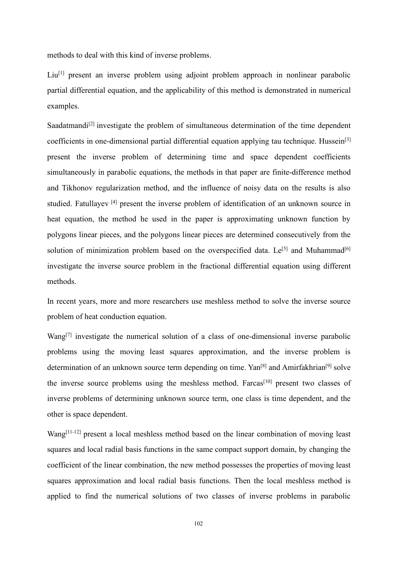methods to deal with this kind of inverse problems.

Liu<sup>[1]</sup> present an inverse problem using adjoint problem approach in nonlinear parabolic partial differential equation, and the applicability of this method is demonstrated in numerical examples.

Saadatmandi<sup>[2]</sup> investigate the problem of simultaneous determination of the time dependent coefficients in one-dimensional partial differential equation applying tau technique. Hussein<sup>[3]</sup> present the inverse problem of determining time and space dependent coefficients simultaneously in parabolic equations, the methods in that paper are finite-difference method and Tikhonov regularization method, and the influence of noisy data on the results is also studied. Fatullayev [4] present the inverse problem of identification of an unknown source in heat equation, the method he used in the paper is approximating unknown function by polygons linear pieces, and the polygons linear pieces are determined consecutively from the solution of minimization problem based on the overspecified data. Le<sup>[5]</sup> and Muhammad<sup>[6]</sup> investigate the inverse source problem in the fractional differential equation using different methods.

In recent years, more and more researchers use meshless method to solve the inverse source problem of heat conduction equation.

Wang<sup>[7]</sup> investigate the numerical solution of a class of one-dimensional inverse parabolic problems using the moving least squares approximation, and the inverse problem is determination of an unknown source term depending on time. Yan<sup>[8]</sup> and Amirfakhrian<sup>[9]</sup> solve the inverse source problems using the meshless method. Farcas<sup>[10]</sup> present two classes of inverse problems of determining unknown source term, one class is time dependent, and the other is space dependent.

Wang<sup>[11-12]</sup> present a local meshless method based on the linear combination of moving least squares and local radial basis functions in the same compact support domain, by changing the coefficient of the linear combination, the new method possesses the properties of moving least squares approximation and local radial basis functions. Then the local meshless method is applied to find the numerical solutions of two classes of inverse problems in parabolic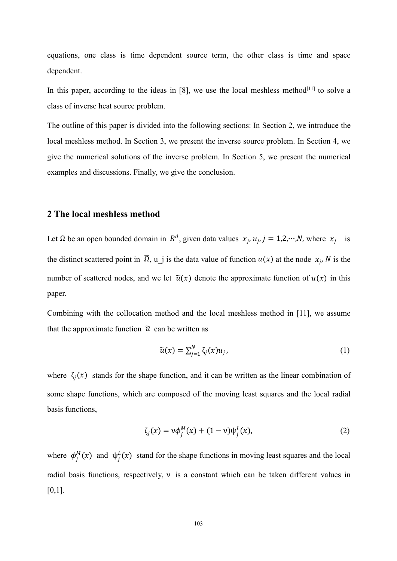equations, one class is time dependent source term, the other class is time and space dependent.

In this paper, according to the ideas in [8], we use the local meshless method<sup>[11]</sup> to solve a class of inverse heat source problem.

The outline of this paper is divided into the following sections: In Section 2, we introduce the local meshless method. In Section 3, we present the inverse source problem. In Section 4, we give the numerical solutions of the inverse problem. In Section 5, we present the numerical examples and discussions. Finally, we give the conclusion.

## **2 The local meshless method**

Let  $\Omega$  be an open bounded domain in  $R^d$ , given data values  $x_j$ ,  $u_j$ ,  $j = 1, 2, \dots, N$ , where  $x_j$  is the distinct scattered point in  $\overline{\Omega}$ , u\_j is the data value of function  $u(x)$  at the node  $x_j$ , N is the number of scattered nodes, and we let  $\tilde{u}(x)$  denote the approximate function of  $u(x)$  in this paper.

Combining with the collocation method and the local meshless method in [11], we assume that the approximate function  $\tilde{u}$  can be written as

$$
\widetilde{u}(x) = \sum_{j=1}^{N} \zeta_j(x) u_j, \qquad (1)
$$

where  $\zeta_i(x)$  stands for the shape function, and it can be written as the linear combination of some shape functions, which are composed of the moving least squares and the local radial basis functions,

$$
\zeta_j(x) = v\phi_j^M(x) + (1 - v)\psi_j^L(x),
$$
\n(2)

where  $\phi_j^M(x)$  and  $\psi_j^L(x)$  stand for the shape functions in moving least squares and the local radial basis functions, respectively, v is a constant which can be taken different values in  $[0,1]$ .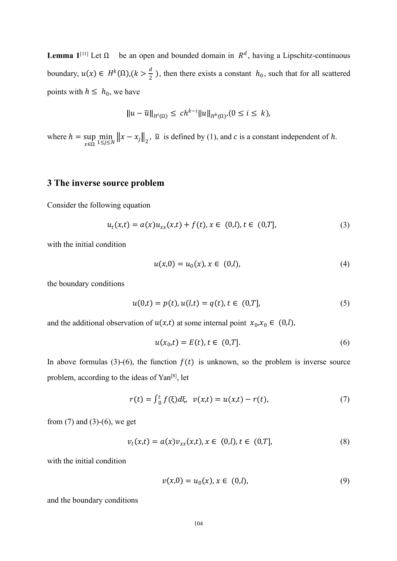**Lemma**  $1^{[11]}$  Let Ω be an open and bounded domain in  $R^d$ , having a Lipschitz-continuous boundary,  $u(x) \in H^k(\Omega)$ ,  $(k > \frac{d}{2})$ , then there exists a constant  $h_0$ , such that for all scattered points with  $h \leq h_0$ , we have

$$
||u-\widetilde{u}||_{H^i(\Omega)} \le ch^{k-i}||u||_{H^k(\Omega)}, (0 \le i \le k),
$$

where  $h = \sup_{z \in \mathbb{R}} \min_{1 \le i \le N} ||x - x_j||_2$ ,  $\tilde{u}$  is defined  $x \in \Omega$   $1 \leq j \leq N$  $\min_{1 \le j \le N} ||x - x_j||_2^2$ ,  $\tilde{u}$  is defined by (1), and c is a constant independent of h.

# **3 The inverse source problem**

Consider the following equation

$$
u_t(x,t) = a(x)u_{xx}(x,t) + f(t), x \in (0,l), t \in (0,T],
$$
\n(3)

with the initial condition

$$
u(x,0) = u_0(x), x \in (0,l), \tag{4}
$$

the boundary conditions

$$
u(0,t) = p(t), u(l,t) = q(t), t \in (0,T],
$$
\n(5)

and the additional observation of  $u(x,t)$  at some internal point  $x_0, x_0 \in (0,l)$ ,

$$
u(x_0, t) = E(t), t \in (0, T].
$$
 (6)

In above formulas (3)-(6), the function  $f(t)$  is unknown, so the problem is inverse source problem, according to the ideas of Yan<sup>[8]</sup>, let

$$
r(t) = \int_0^t f(\xi) d\xi, \ \ v(x,t) = u(x,t) - r(t), \tag{7}
$$

from  $(7)$  and  $(3)-(6)$ , we get

$$
v_t(x,t) = a(x)v_{xx}(x,t), x \in (0,l), t \in (0,T],
$$
\n(8)

with the initial condition

$$
v(x,0) = u_0(x), x \in (0,l),
$$
\n(9)

and the boundary conditions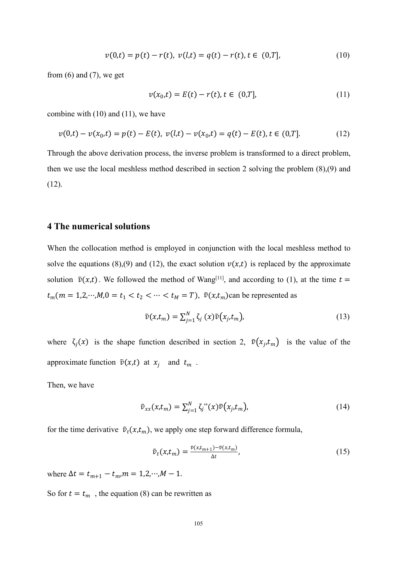$$
v(0,t) = p(t) - r(t), \ v(l,t) = q(t) - r(t), \ t \in (0,T], \tag{10}
$$

from  $(6)$  and  $(7)$ , we get

$$
v(x_0, t) = E(t) - r(t), t \in (0, T],
$$
\n(11)

combine with (10) and (11), we have

$$
v(0,t) - v(x_0,t) = p(t) - E(t), \ v(l,t) - v(x_0,t) = q(t) - E(t), \ t \in (0,T]. \tag{12}
$$

Through the above derivation process, the inverse problem is transformed to a direct problem, then we use the local meshless method described in section 2 solving the problem (8),(9) and (12).

### **4 The numerical solutions**

When the collocation method is employed in conjunction with the local meshless method to solve the equations (8),(9) and (12), the exact solution  $v(x,t)$  is replaced by the approximate solution  $\tilde{v}(x,t)$ . We followed the method of Wang<sup>[11]</sup>, and according to (1), at the time  $t =$  $t_m$ ( $m = 1, 2, \cdots, M, 0 = t_1 < t_2 < \cdots < t_M = T$ ),  $\tilde{v}(x, t_m)$ can be represented as

$$
\tilde{v}(x,t_m) = \sum_{j=1}^{N} \zeta_j(x)\tilde{v}(x_j,t_m),\tag{13}
$$

where  $\zeta_j(x)$  is the shape function described in section 2,  $\tilde{v}(x_j, t_m)$  is the value of the approximate function  $\tilde{v}(x,t)$  at  $x_i$  and  $t_m$ .

Then, we have

$$
\tilde{v}_{xx}(x,t_m) = \sum_{j=1}^{N} \zeta_j \, \text{``}(x) \tilde{v}(x_j,t_m),\tag{14}
$$

for the time derivative  $\tilde{v}_t(x, t_m)$ , we apply one step forward difference formula,

$$
\tilde{v}_t(x,t_m) = \frac{\tilde{v}(x,t_{m+1}) - \tilde{v}(x,t_m)}{\Delta t},\tag{15}
$$

where  $\Delta t = t_{m+1} - t_m$ ,  $m = 1, 2, \dots, M - 1$ .

So for  $t = t_m$ , the equation (8) can be rewritten as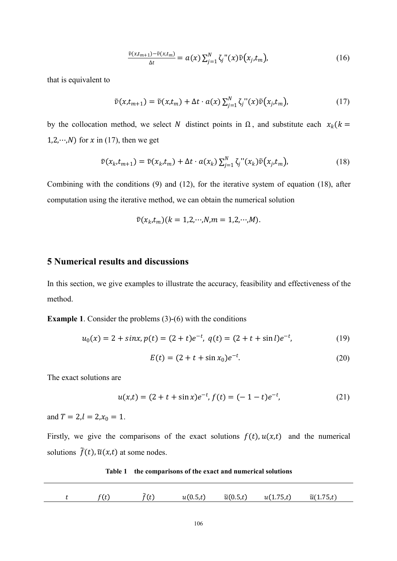$$
\frac{\tilde{v}(x,t_{m+1})-\tilde{v}(x,t_m)}{\Delta t} = a(x)\sum_{j=1}^N \zeta_j''(x)\tilde{v}(x_j,t_m),\tag{16}
$$

that is equivalent to

$$
\tilde{v}(x,t_{m+1}) = \tilde{v}(x,t_m) + \Delta t \cdot a(x) \sum_{j=1}^{N} \zeta_j''(x) \tilde{v}(x_j,t_m), \qquad (17)
$$

by the collocation method, we select N distinct points in  $\Omega$ , and substitute each  $x_k$  ( $k =$ 1,2, $\cdots$ ,*N*) for *x* in (17), then we get

$$
\tilde{v}(x_k, t_{m+1}) = \tilde{v}(x_k, t_m) + \Delta t \cdot a(x_k) \sum_{j=1}^N \zeta_j''(x_k) \tilde{v}(x_j, t_m), \qquad (18)
$$

Combining with the conditions (9) and (12), for the iterative system of equation (18), after computation using the iterative method, we can obtain the numerical solution

$$
\tilde{v}(x_k,t_m)(k=1,2,\cdots,N,m=1,2,\cdots,M).
$$

# **5 Numerical results and discussions**

In this section, we give examples to illustrate the accuracy, feasibility and effectiveness of the method.

**Example 1**. Consider the problems (3)-(6) with the conditions

$$
u_0(x) = 2 + \sin x, p(t) = (2 + t)e^{-t}, q(t) = (2 + t + \sin t)e^{-t},
$$
\n(19)

$$
E(t) = (2 + t + \sin x_0)e^{-t}.
$$
 (20)

The exact solutions are

$$
u(x,t) = (2 + t + \sin x)e^{-t}, f(t) = (-1 - t)e^{-t},
$$
\n(21)

and  $T = 2, l = 2, x_0 = 1$ .

Firstly, we give the comparisons of the exact solutions  $f(t)$ ,  $u(x,t)$  and the numerical solutions  $\tilde{f}(t)$ ,  $\tilde{u}(x,t)$  at some nodes.

**Table 1 the comparisons of the exact and numerical solutions** 

|  | $\sim$ | $\sim$ $\sim$ $\sim$<br>u(0.5.t) | $\widetilde{u}(0.5,t)$ | — —<br>u(1.75,t) | $\widetilde{u}(1.75,t)$ |  |
|--|--------|----------------------------------|------------------------|------------------|-------------------------|--|
|  |        |                                  |                        |                  |                         |  |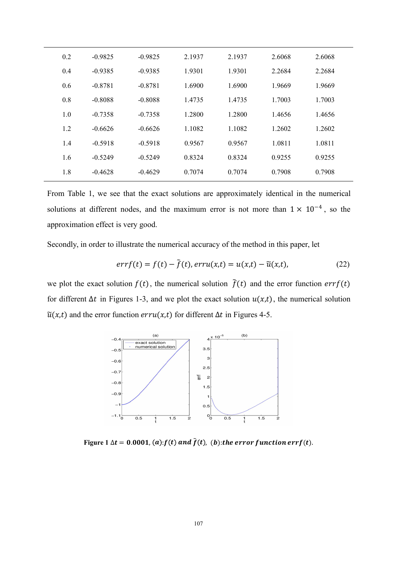| 0.2 | $-0.9825$ | $-0.9825$ | 2.1937 | 2.1937 | 2.6068 | 2.6068 |
|-----|-----------|-----------|--------|--------|--------|--------|
| 0.4 | $-0.9385$ | $-0.9385$ | 1.9301 | 1.9301 | 2.2684 | 2.2684 |
| 0.6 | $-0.8781$ | $-0.8781$ | 1.6900 | 1.6900 | 1.9669 | 1.9669 |
| 0.8 | $-0.8088$ | $-0.8088$ | 1.4735 | 1.4735 | 1.7003 | 1.7003 |
| 1.0 | $-0.7358$ | $-0.7358$ | 1.2800 | 1.2800 | 1.4656 | 1.4656 |
| 1.2 | $-0.6626$ | $-0.6626$ | 1.1082 | 1.1082 | 1.2602 | 1.2602 |
| 1.4 | $-0.5918$ | $-0.5918$ | 0.9567 | 0.9567 | 1.0811 | 1.0811 |
| 1.6 | $-0.5249$ | $-0.5249$ | 0.8324 | 0.8324 | 0.9255 | 0.9255 |
| 1.8 | $-0.4628$ | $-0.4629$ | 0.7074 | 0.7074 | 0.7908 | 0.7908 |
|     |           |           |        |        |        |        |

From Table 1, we see that the exact solutions are approximately identical in the numerical solutions at different nodes, and the maximum error is not more than  $1 \times 10^{-4}$ , so the approximation effect is very good.

Secondly, in order to illustrate the numerical accuracy of the method in this paper, let

$$
errf(t) = f(t) - \tilde{f}(t), erru(x,t) = u(x,t) - \tilde{u}(x,t),
$$
\n(22)

we plot the exact solution  $f(t)$ , the numerical solution  $\tilde{f}(t)$  and the error function  $errf(t)$ for different  $\Delta t$  in Figures 1-3, and we plot the exact solution  $u(x,t)$ , the numerical solution  $\tilde{u}(x,t)$  and the error function  $erru(x,t)$  for different  $\Delta t$  in Figures 4-5.



Figure  $1 \Delta t = 0.0001$ ,  $(a)$ :  $f(t)$  and  $\tilde{f}(t)$ ,  $(b)$ : the error function errf(t).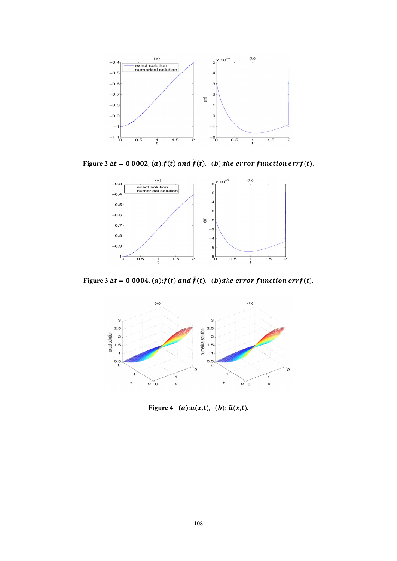

Figure  $2 \Delta t = 0.0002$ ,  $(a)$ :  $f(t)$  and  $\tilde{f}(t)$ ,  $(b)$ : the error function errf(t).



**Figure**  $3 \Delta t = 0.0004$ ,  $(a): f(t)$  and  $\tilde{f}(t)$ ,  $(b):$ the error function errf(t).



**Figure** 4 (a): $u(x,t)$ , (b):  $\tilde{u}(x,t)$ .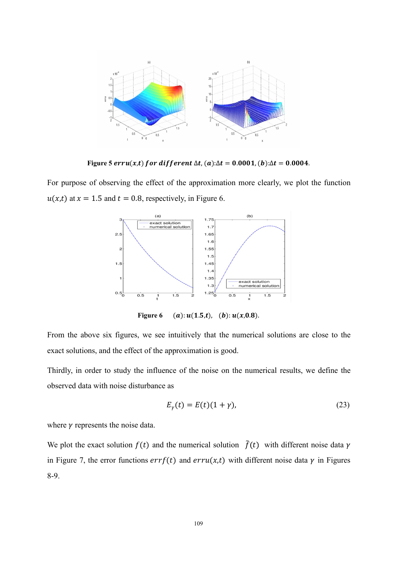

Figure 5  $erru(x,t)$  for different  $\Delta t$ ,  $(a): \Delta t = 0.0001$ ,  $(b): \Delta t = 0.0004$ .

For purpose of observing the effect of the approximation more clearly, we plot the function  $u(x,t)$  at  $x = 1.5$  and  $t = 0.8$ , respectively, in Figure 6.



**Figure 6** (a):  $u(1.5,t)$ , (b):  $u(x,0.8)$ .

From the above six figures, we see intuitively that the numerical solutions are close to the exact solutions, and the effect of the approximation is good.

Thirdly, in order to study the influence of the noise on the numerical results, we define the observed data with noise disturbance as

$$
E_{\gamma}(t) = E(t)(1+\gamma),\tag{23}
$$

where  $\gamma$  represents the noise data.

We plot the exact solution  $f(t)$  and the numerical solution  $\tilde{f}(t)$  with different noise data  $\gamma$ in Figure 7, the error functions  $errf(t)$  and  $erru(x,t)$  with different noise data  $\gamma$  in Figures 8-9.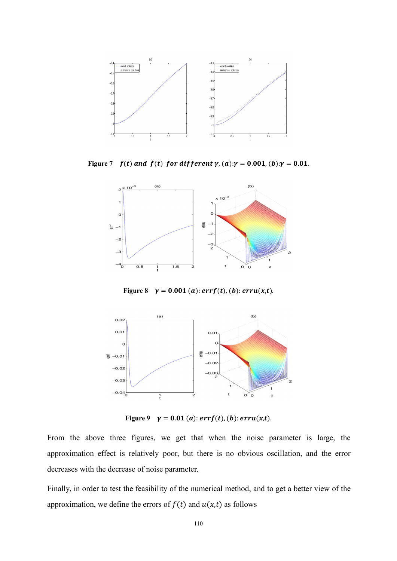

**Figure** 7  $f(t)$  and  $\tilde{f}(t)$  for different  $\gamma$ ,  $(a): \gamma = 0.001$ ,  $(b): \gamma = 0.01$ .



**Figure 8**  $\gamma = 0.001(a)$ :  $errf(t)$ , (b):  $erru(x,t)$ .



**Figure** 9  $\gamma = 0.01(a)$ :  $errf(t)$ , (b):  $erru(x,t)$ .

From the above three figures, we get that when the noise parameter is large, the approximation effect is relatively poor, but there is no obvious oscillation, and the error decreases with the decrease of noise parameter.

Finally, in order to test the feasibility of the numerical method, and to get a better view of the approximation, we define the errors of  $f(t)$  and  $u(x,t)$  as follows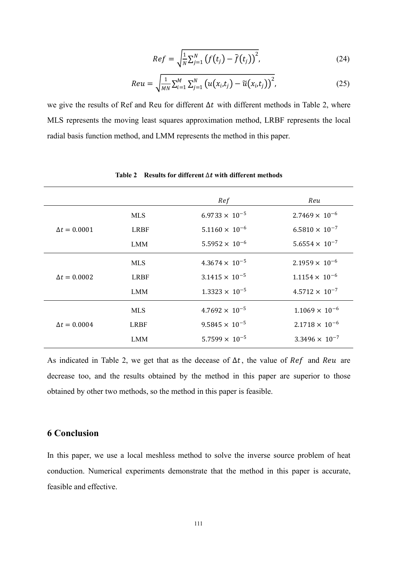$$
Ref = \sqrt{\frac{1}{N} \sum_{j=1}^{N} \left( f(t_j) - \tilde{f}(t_j) \right)^2},
$$
\n(24)

$$
Reu = \sqrt{\frac{1}{MN} \sum_{i=1}^{M} \sum_{j=1}^{N} \left( u(x_i, t_j) - \widetilde{u}(x_i, t_j) \right)^2},
$$
\n(25)

we give the results of Ref and Reu for different  $\Delta t$  with different methods in Table 2, where MLS represents the moving least squares approximation method, LRBF represents the local radial basis function method, and LMM represents the method in this paper.

|                     |             | Ref                     | Reu                     |
|---------------------|-------------|-------------------------|-------------------------|
|                     | <b>MLS</b>  | $6.9733 \times 10^{-5}$ | $2.7469 \times 10^{-6}$ |
| $\Delta t = 0.0001$ | <b>LRBF</b> | $5.1160 \times 10^{-6}$ | $6.5810 \times 10^{-7}$ |
|                     | <b>LMM</b>  | $5.5952 \times 10^{-6}$ | $5.6554 \times 10^{-7}$ |
|                     | <b>MLS</b>  | $4.3674 \times 10^{-5}$ | $2.1959 \times 10^{-6}$ |
| $\Delta t = 0.0002$ | <b>LRBF</b> | $3.1415 \times 10^{-5}$ | $1.1154 \times 10^{-6}$ |
|                     | <b>LMM</b>  | $1.3323 \times 10^{-5}$ | $4.5712 \times 10^{-7}$ |
|                     | <b>MLS</b>  | $4.7692 \times 10^{-5}$ | $1.1069 \times 10^{-6}$ |
| $\Delta t = 0.0004$ | <b>LRBF</b> | $9.5845 \times 10^{-5}$ | $2.1718 \times 10^{-6}$ |
|                     | <b>LMM</b>  | $5.7599 \times 10^{-5}$ | $3.3496 \times 10^{-7}$ |
|                     |             |                         |                         |

**Table 2 Results for different** Δ **with different methods**

As indicated in Table 2, we get that as the decease of  $\Delta t$ , the value of  $\text{Re} f$  and  $\text{Re} u$  are decrease too, and the results obtained by the method in this paper are superior to those obtained by other two methods, so the method in this paper is feasible.

## **6 Conclusion**

In this paper, we use a local meshless method to solve the inverse source problem of heat conduction. Numerical experiments demonstrate that the method in this paper is accurate, feasible and effective.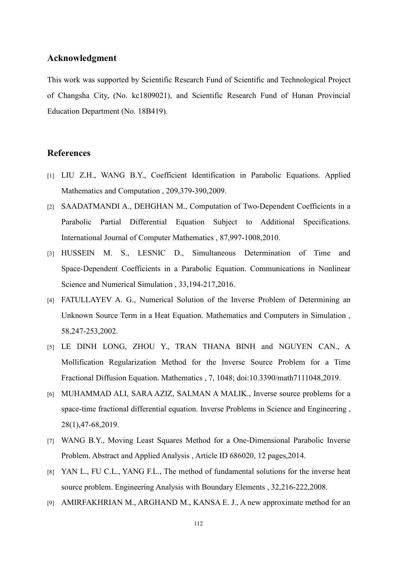### **Acknowledgment**

This work was supported by Scientific Research Fund of Scientific and Technological Project of Changsha City, (No. kc1809021), and Scientific Research Fund of Hunan Provincial Education Department (No. 18B419).

#### **References**

- [1] LIU Z.H., WANG B.Y., Coefficient Identification in Parabolic Equations. Applied Mathematics and Computation , 209,379-390,2009.
- [2] SAADATMANDI A., DEHGHAN M., Computation of Two-Dependent Coefficients in a Parabolic Partial Differential Equation Subject to Additional Specifications. International Journal of Computer Mathematics , 87,997-1008,2010.
- [3] HUSSEIN M. S., LESNIC D., Simultaneous Determination of Time and Space-Dependent Coefficients in a Parabolic Equation. Communications in Nonlinear Science and Numerical Simulation , 33,194-217,2016.
- [4] FATULLAYEV A. G., Numerical Solution of the Inverse Problem of Determining an Unknown Source Term in a Heat Equation. Mathematics and Computers in Simulation , 58,247-253,2002.
- [5] LE DINH LONG, ZHOU Y., TRAN THANA BINH and NGUYEN CAN., A Mollification Regularization Method for the Inverse Source Problem for a Time Fractional Diffusion Equation. Mathematics , 7, 1048; doi:10.3390/math7111048,2019.
- [6] MUHAMMAD ALI, SARA AZIZ, SALMAN A MALIK., Inverse source problems for a space-time fractional differential equation. Inverse Problems in Science and Engineering , 28(1),47-68,2019.
- [7] WANG B.Y., Moving Least Squares Method for a One-Dimensional Parabolic Inverse Problem. Abstract and Applied Analysis , Article ID 686020, 12 pages,2014.
- [8] YAN L., FU C.L., YANG F.L., The method of fundamental solutions for the inverse heat source problem. Engineering Analysis with Boundary Elements , 32,216-222,2008.
- [9] AMIRFAKHRIAN M., ARGHAND M., KANSA E. J., A new approximate method for an